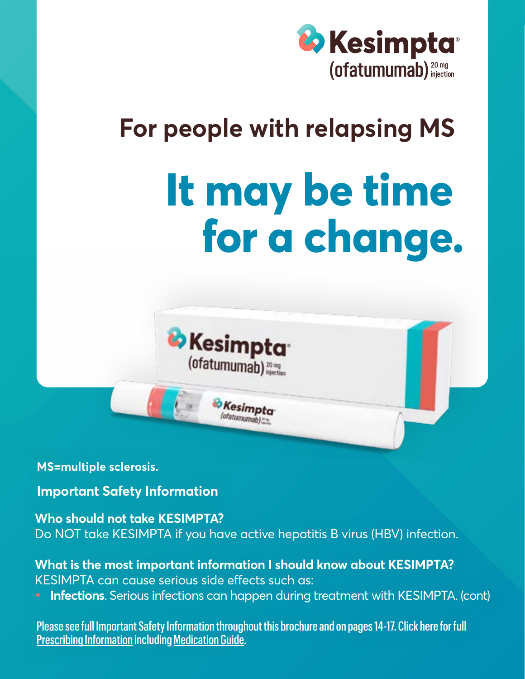

### **For people with relapsing MS**

# **It may be time for a change.**



**MS=multiple sclerosis.**

**Important Safety Information**

#### **Who should not take KESIMPTA?**

Do NOT take KESIMPTA if you have active hepatitis B virus (HBV) infection.

#### **What is the most important information I should know about KESIMPTA?** KESIMPTA can cause serious side effects such as:

**• Infections**. Serious infections can happen during treatment with KESIMPTA. (cont)

Please see full Important Safety Information th[roughout th](https://www.novartis.us/sites/www.novartis.us/files/kesimpta.pdf)is brochure and on pages 14-17. Click here for full <u>Prescribing Information</u> including <u>Medication Guide</u>.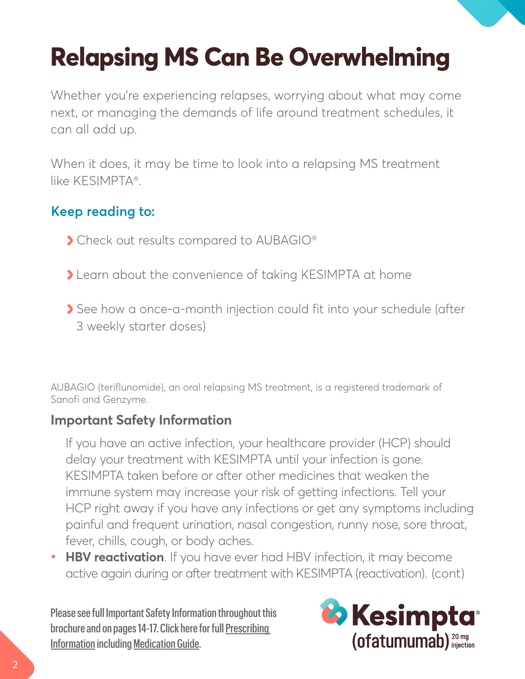## **Relapsing MS Can Be Overwhelming**

Whether you're experiencing relapses, worrying about what may come next, or managing the demands of life around treatment schedules, it can all add up.

When it does, it may be time to look into a relapsing MS treatment like KESIMPTA®.

#### **Keep reading to:**

- Check out results compared to AUBAGIO®
- Learn about the convenience of taking KESIMPTA at home
- See how a once-a-month injection could fit into your schedule (after 3 weekly starter doses)

AUBAGIO (teriflunomide), an oral relapsing MS treatment, is a registered trademark of Sanofi and Genzyme.

#### **Important Safety Information**

If you have an active infection, your healthcare provider (HCP) should delay your treatment with KESIMPTA until your infection is gone. KESIMPTA taken before or after other medicines that weaken the immune system may increase your risk of getting infections. Tell your HCP right away if you have any infections or get any symptoms including painful and frequent urination, nasal congestion, runny nose, sore throat, fever, chills, cough, or body aches.

**• HBV reactivation**. If you have ever had HBV infection, it may become active again during or after treatment with KESIMPTA (reactivation). (cont)

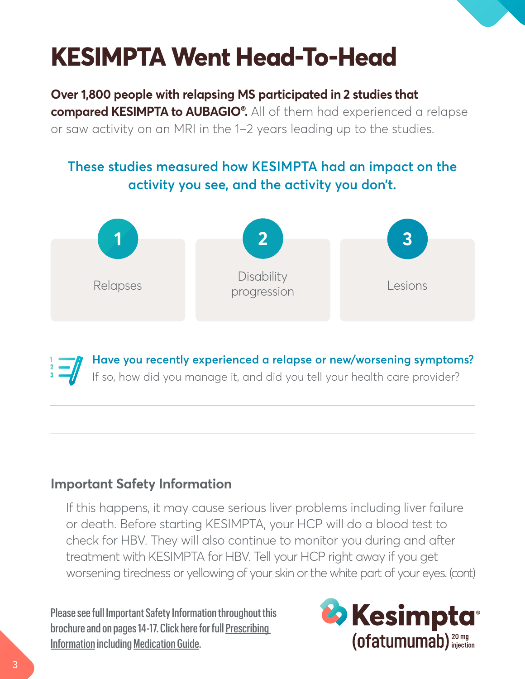### **KESIMPTA Went Head-To-Head**

**Over 1,800 people with relapsing MS participated in 2 studies that** 

**compared KESIMPTA to AUBAGIO® .** All of them had experienced a relapse or saw activity on an MRI in the 1-2 years leading up to the studies.

#### **These studies measured how KESIMPTA had an impact on the activity you see, and the activity you don't.**



**Have you recently experienced a relapse or new/worsening symptoms?** If so, how did you manage it, and did you tell your health care provider?

#### **Important Safety Information**

If this happens, it may cause serious liver problems including liver failure or death. Before starting KESIMPTA, your HCP will do a blood test to check for HBV. They will also continue to monitor you during and after treatment with KESIMPTA for HBV. Tell your HCP right away if you get worsening tiredness or yellowing of your skin or the white part of your eyes. (cont)

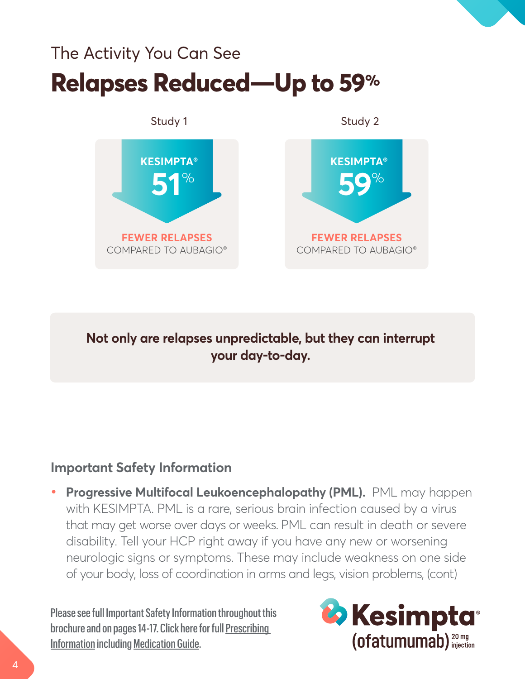### The Activity You Can See **Relapses Reduced—Up to 59%**



**Not only are relapses unpredictable, but they can interrupt your day-to-day.** 

#### **Important Safety Information**

**• Progressive Multifocal Leukoencephalopathy (PML).** PML may happen with KESIMPTA. PML is a rare, serious brain infection caused by a virus that may get worse over days or weeks. PML can result in death or severe disability. Tell your HCP right away if you have any new or worsening neurologic signs or symptoms. These may include weakness on one side of your body, loss of coordination in arms and legs, vision problems, (cont)

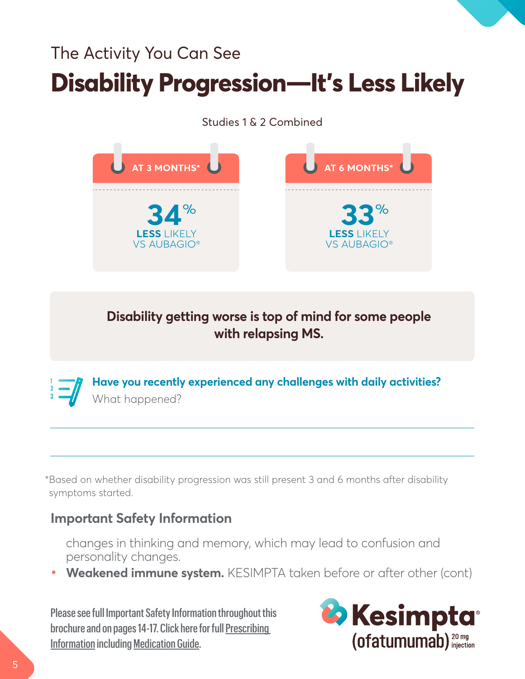### The Activity You Can See **Disability Progression—It's Less Likely**

#### Studies 1 & 2 Combined



**Disability getting worse is top of mind for some people with relapsing MS.**



\*Based on whether disability progression was still present 3 and 6 months after disability symptoms started.

#### **Important Safety Information**

changes in thinking and memory, which may lead to confusion and personality changes.

**• Weakened immune system.** KESIMPTA taken before or after other (cont)

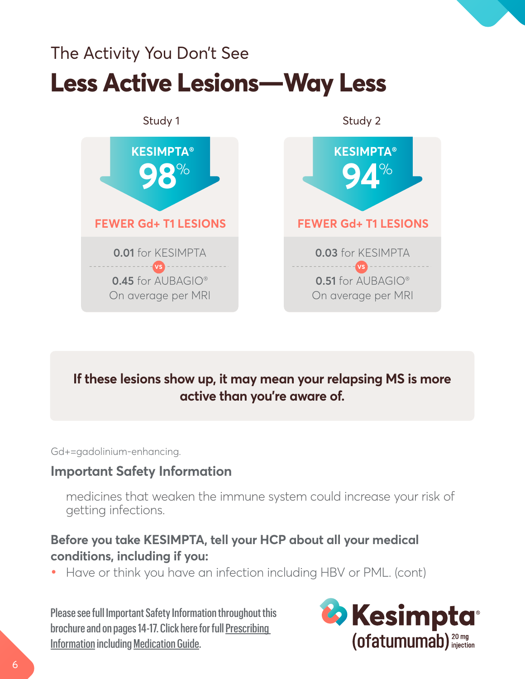### The Activity You Don't See **Less Active Lesions—Way Less**



#### **If these lesions show up, it may mean your relapsing MS is more active than you're aware of.**

Gd+=gadolinium-enhancing.

#### **Important Safety Information**

medicines that weaken the immune system could increase your risk of getting infections.

#### **Before you take KESIMPTA, tell your HCP about all your medical conditions, including if you:**

**•** Have or think you have an infection including HBV or PML. (cont)

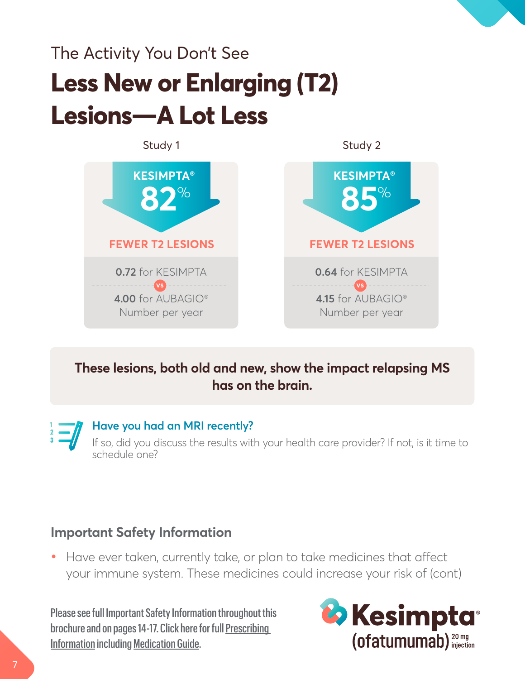### The Activity You Don't See **Less New or Enlarging (T2) Lesions—A Lot Less**



#### **These lesions, both old and new, show the impact relapsing MS has on the brain.**

**Have you had an MRI recently?**

If so, did you discuss the results with your health care provider? If not, is it time to schedule one?

#### **Important Safety Information**

**•** Have ever taken, currently take, or plan to take medicines that affect your immune system. These medicines could increase your risk of (cont)

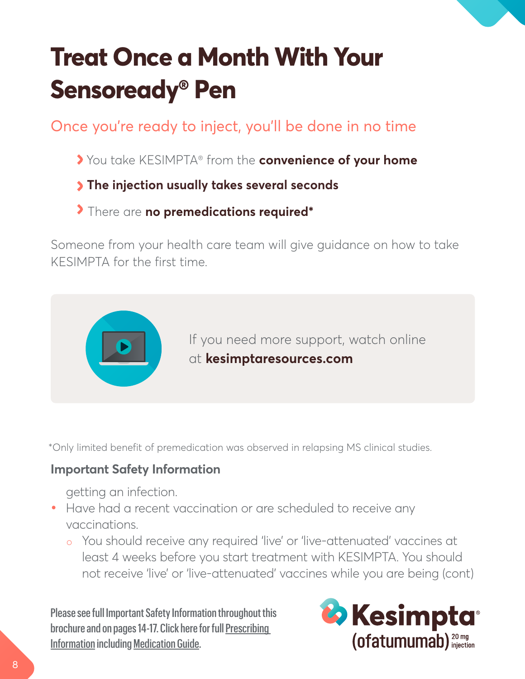## **Treat Once a Month With Your Sensoready® Pen**

Once you're ready to inject, you'll be done in no time

- You take KESIMPTA® from the **convenience of your home**
- **The injection usually takes several seconds**
- There are **no premedications required\***

Someone from your health care team will give guidance on how to take KESIMPTA for the first time.



\*Only limited benefit of premedication was observed in relapsing MS clinical studies.

#### **Important Safety Information**

getting an infection.

- **•** Have had a recent vaccination or are scheduled to receive any vaccinations.
	- o You should receive any required 'live' or 'live-attenuated' vaccines at least 4 weeks before you start treatment with KESIMPTA. You should not receive 'live' or 'live-attenuated' vaccines while you are being (cont)

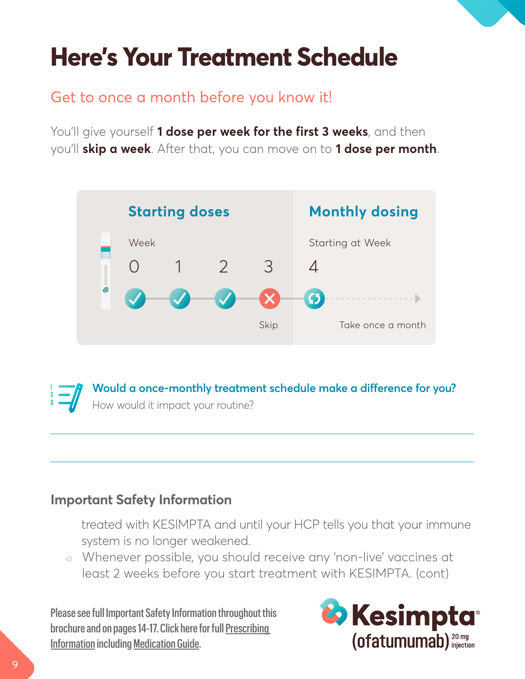### **Here's Your Treatment Schedule**

#### Get to once a month before you know it!

You'll give yourself **1 dose per week for the first 3 weeks**, and then you'll **skip a week**. After that, you can move on to **1 dose per month**.



**Would a once-monthly treatment schedule make a difference for you?** How would it impact your routine?

#### **Important Safety Information**

treated with KESIMPTA and until your HCP tells you that your immune system is no longer weakened.

o Whenever possible, you should receive any 'non-live' vaccines at least 2 weeks before you start treatment with KESIMPTA. (cont)

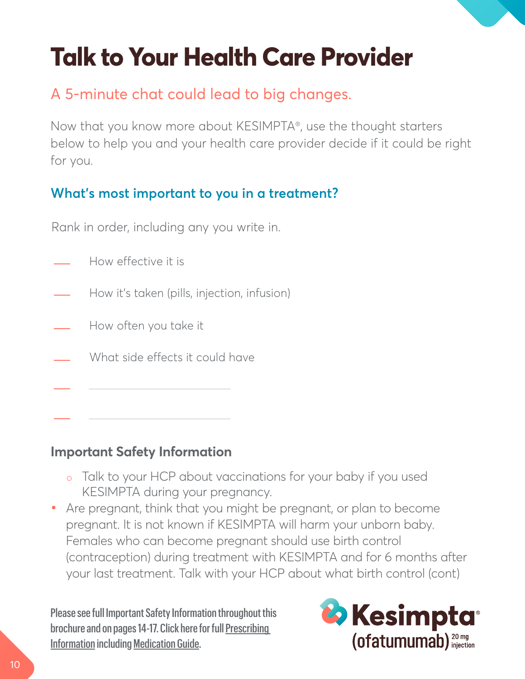### **Talk to Your Health Care Provider**

### A 5-minute chat could lead to big changes.

Now that you know more about KESIMPTA®, use the thought starters below to help you and your health care provider decide if it could be right for you.

#### **What's most important to you in a treatment?**

Rank in order, including any you write in.

- How effective it is
- How it's taken (pills, injection, infusion)
- How often you take it
- What side effects it could have

#### **Important Safety Information**

- o Talk to your HCP about vaccinations for your baby if you used KESIMPTA during your pregnancy.
- **•** Are pregnant, think that you might be pregnant, or plan to become pregnant. It is not known if KESIMPTA will harm your unborn baby. Females who can become pregnant should use birth control (contraception) during treatment with KESIMPTA and for 6 months after your last treatment. Talk with your HCP about what birth control (cont)

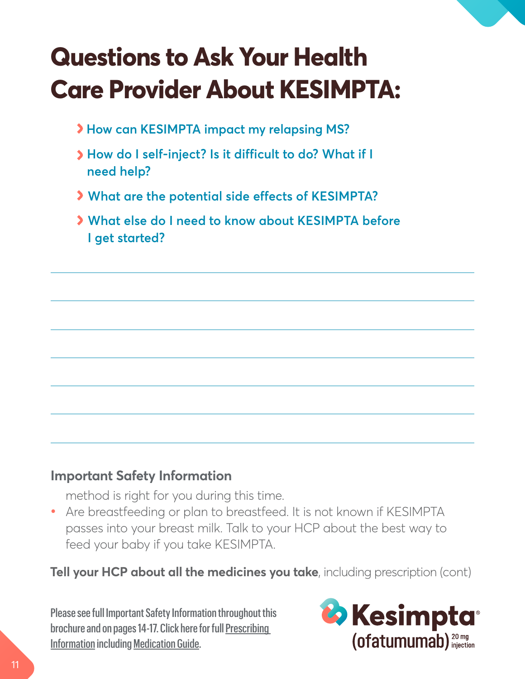### **Questions to Ask Your Health Care Provider About KESIMPTA:**

- **How can KESIMPTA impact my relapsing MS?**
- **How do I self-inject? Is it difficult to do? What if I need help?**
- **What are the potential side effects of KESIMPTA?**
- **What else do I need to know about KESIMPTA before I get started?**

#### **Important Safety Information**

method is right for you during this time.

**•** Are breastfeeding or plan to breastfeed. It is not known if KESIMPTA passes into your breast milk. Talk to your HCP about the best way to feed your baby if you take KESIMPTA.

**Tell your HCP about all the medicines you take**, including prescription (cont)

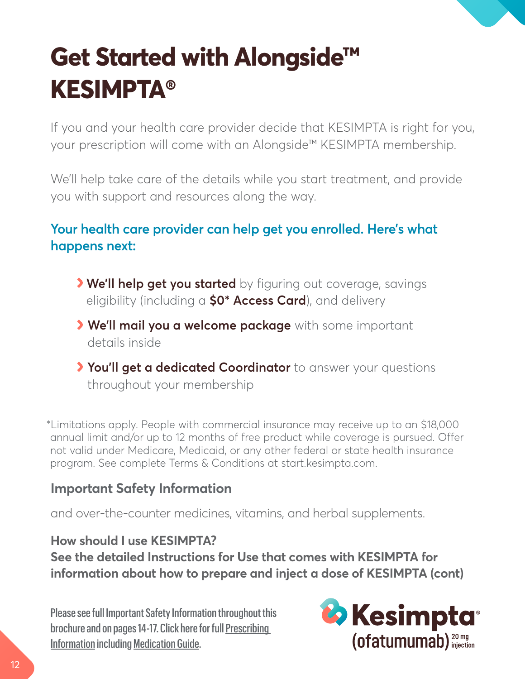## **Get Started with Alongside™ KESIMPTA®**

If you and your health care provider decide that KESIMPTA is right for you, your prescription will come with an Alongside™ KESIMPTA membership.

We'll help take care of the details while you start treatment, and provide you with support and resources along the way.

#### **Your health care provider can help get you enrolled. Here's what happens next:**

- **We'll help get you started** by figuring out coverage, savings eligibility (including a **\$0\* Access Card**), and delivery
- **We'll mail you a welcome package** with some important details inside
- **You'll get a dedicated Coordinator** to answer your questions throughout your membership

\*Limitations apply. People with commercial insurance may receive up to an \$18,000 annual limit and/or up to 12 months of free product while coverage is pursued. Offer not valid under Medicare, Medicaid, or any other federal or state health insurance program. See complete Terms & Conditions at [start.kesimpta.com.](https://start.kesimpta.com)

#### **Important Safety Information**

and over-the-counter medicines, vitamins, and herbal supplements.

#### **How should I use KESIMPTA?**

**See the detailed Instructions for Use that comes with KESIMPTA for information about how to prepare and inject a dose of KESIMPTA (cont)**

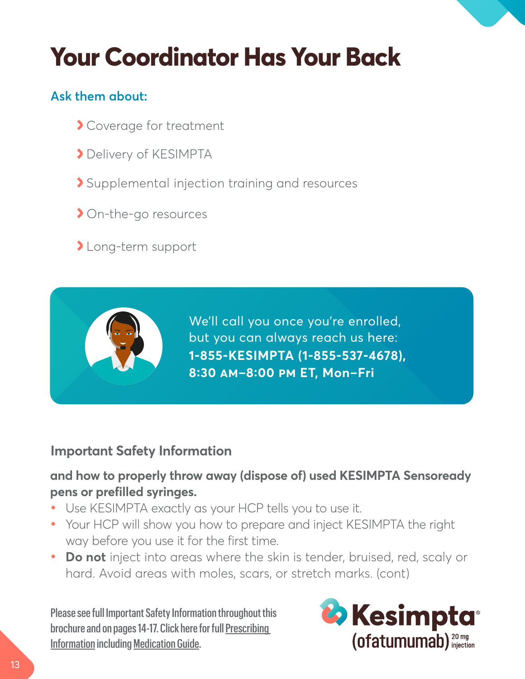### **Your Coordinator Has Your Back**

#### **Ask them about:**

- Coverage for treatment
- Delivery of KESIMPTA
- Supplemental injection training and resources
- On-the-go resources
- >Long-term support

**1-855-KESIMPTA (1-855-537-4678), 8:30 AM–8:00 PM ET, Mon–Fri** We'll call you once you're enrolled, but you can always reach us here:

#### **Important Safety Information**

#### **and how to properly throw away (dispose of) used KESIMPTA Sensoready pens or prefilled syringes.**

- **•** Use KESIMPTA exactly as your HCP tells you to use it.
- **•** Your HCP will show you how to prepare and inject KESIMPTA the right way before you use it for the first time.
- **• Do not** inject into areas where the skin is tender, bruised, red, scaly or hard. Avoid areas with moles, scars, or stretch marks. (cont)

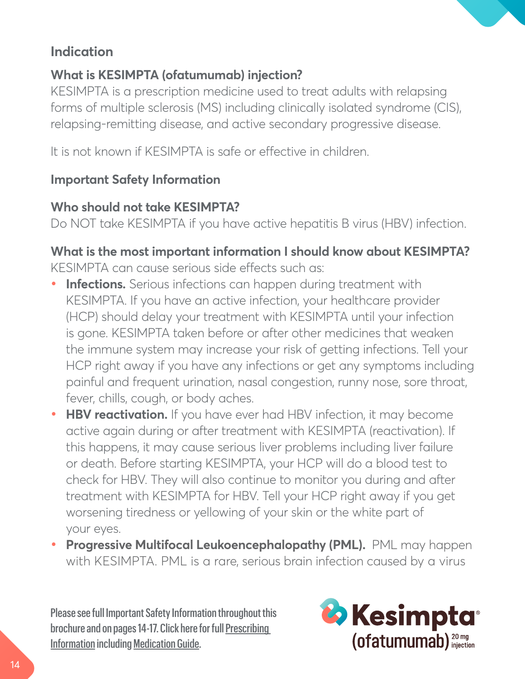#### **Indication**

#### **What is KESIMPTA (ofatumumab) injection?**

KESIMPTA is a prescription medicine used to treat adults with relapsing forms of multiple sclerosis (MS) including clinically isolated syndrome (CIS), relapsing-remitting disease, and active secondary progressive disease.

It is not known if KESIMPTA is safe or effective in children.

#### **Important Safety Information**

#### **Who should not take KESIMPTA?**

Do NOT take KESIMPTA if you have active hepatitis B virus (HBV) infection.

#### **What is the most important information I should know about KESIMPTA?** KESIMPTA can cause serious side effects such as:

- **Infections.** Serious infections can happen during treatment with KESIMPTA. If you have an active infection, your healthcare provider (HCP) should delay your treatment with KESIMPTA until your infection is gone. KESIMPTA taken before or after other medicines that weaken the immune system may increase your risk of getting infections. Tell your HCP right away if you have any infections or get any symptoms including painful and frequent urination, nasal congestion, runny nose, sore throat, fever, chills, cough, or body aches.
- **• HBV reactivation.** If you have ever had HBV infection, it may become active again during or after treatment with KESIMPTA (reactivation). If this happens, it may cause serious liver problems including liver failure or death. Before starting KESIMPTA, your HCP will do a blood test to check for HBV. They will also continue to monitor you during and after treatment with KESIMPTA for HBV. Tell your HCP right away if you get worsening tiredness or yellowing of your skin or the white part of your eyes.
- **• Progressive Multifocal Leukoencephalopathy (PML).** PML may happen with KESIMPTA. PML is a rare, serious brain infection caused by a virus

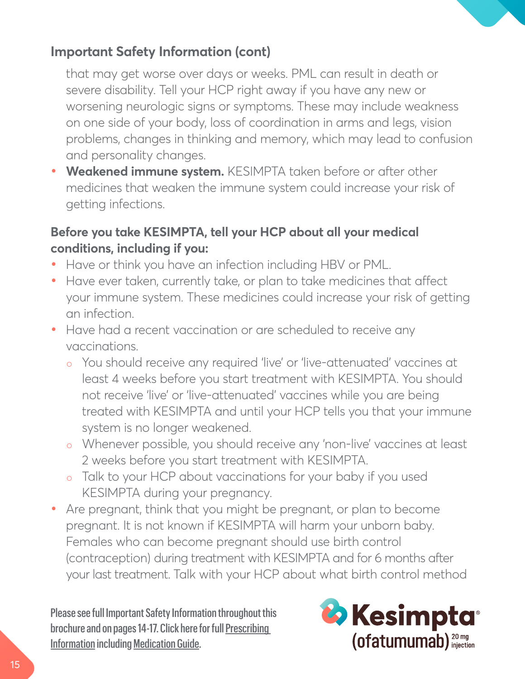#### **Important Safety Information (cont)**

that may get worse over days or weeks. PML can result in death or severe disability. Tell your HCP right away if you have any new or worsening neurologic signs or symptoms. These may include weakness on one side of your body, loss of coordination in arms and legs, vision problems, changes in thinking and memory, which may lead to confusion and personality changes.

**• Weakened immune system.** KESIMPTA taken before or after other medicines that weaken the immune system could increase your risk of getting infections.

#### **Before you take KESIMPTA, tell your HCP about all your medical conditions, including if you:**

- **•** Have or think you have an infection including HBV or PML.
- **•** Have ever taken, currently take, or plan to take medicines that affect your immune system. These medicines could increase your risk of getting an infection.
- **•** Have had a recent vaccination or are scheduled to receive any vaccinations.
	- You should receive any required 'live' or 'live-attenuated' vaccines at least 4 weeks before you start treatment with KESIMPTA. You should not receive 'live' or 'live-attenuated' vaccines while you are being treated with KESIMPTA and until your HCP tells you that your immune system is no longer weakened.
	- o Whenever possible, you should receive any 'non-live' vaccines at least 2 weeks before you start treatment with KESIMPTA.
	- o Talk to your HCP about vaccinations for your baby if you used KESIMPTA during your pregnancy.
- **•** Are pregnant, think that you might be pregnant, or plan to become pregnant. It is not known if KESIMPTA will harm your unborn baby. Females who can become pregnant should use birth control (contraception) during treatment with KESIMPTA and for 6 months after your last treatment. Talk with your HCP about what birth control method

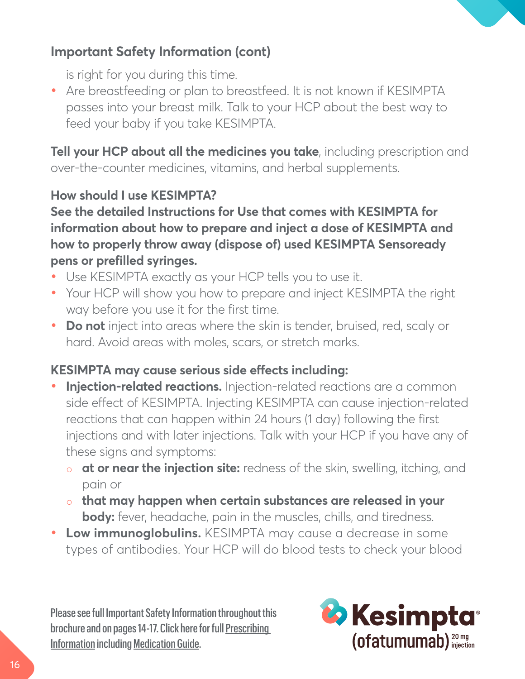

#### **Important Safety Information (cont)**

is right for you during this time.

**•** Are breastfeeding or plan to breastfeed. It is not known if KESIMPTA passes into your breast milk. Talk to your HCP about the best way to feed your baby if you take KESIMPTA.

**Tell your HCP about all the medicines you take**, including prescription and over-the-counter medicines, vitamins, and herbal supplements.

#### **How should I use KESIMPTA?**

**See the detailed Instructions for Use that comes with KESIMPTA for information about how to prepare and inject a dose of KESIMPTA and how to properly throw away (dispose of) used KESIMPTA Sensoready pens or prefilled syringes.**

- **•** Use KESIMPTA exactly as your HCP tells you to use it.
- **•** Your HCP will show you how to prepare and inject KESIMPTA the right way before you use it for the first time.
- **• Do not** inject into areas where the skin is tender, bruised, red, scaly or hard. Avoid areas with moles, scars, or stretch marks.

#### **KESIMPTA may cause serious side effects including:**

- **• Injection-related reactions.** Injection-related reactions are a common side effect of KESIMPTA. Injecting KESIMPTA can cause injection-related reactions that can happen within 24 hours (1 day) following the first injections and with later injections. Talk with your HCP if you have any of these signs and symptoms:
	- **at or near the injection site:** redness of the skin, swelling, itching, and pain or
	- **that may happen when certain substances are released in your body:** fever, headache, pain in the muscles, chills, and tiredness.
- **• Low immunoglobulins.** KESIMPTA may cause a decrease in some types of antibodies. Your HCP will do blood tests to check your blood

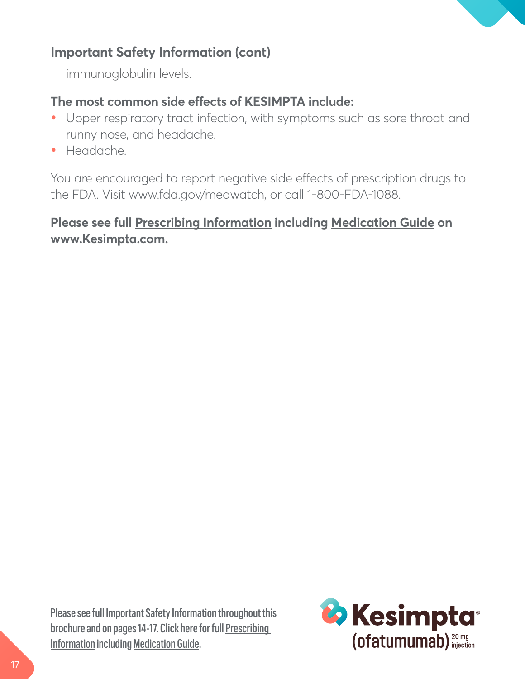#### **Important Safety Information (cont)**

immunoglobulin levels.

#### **The most common side effects of KESIMPTA include:**

- **•** Upper respiratory tract infection, with symptoms such as sore throat and runny nose, and headache.
- **•** Headache.

You are encouraged to report negative side effects of prescription drugs to the FDA. Visit [www.fda.gov/medwatch](http://www.fda.gov/medwatch), or call 1-800-FDA-1088.

#### **Please see full [Prescribing Information including Medication Guide](https://www.novartis.us/sites/www.novartis.us/files/kesimpta.pdf) on [www.Kesimpta.com](https://www.kesimpta.com).**

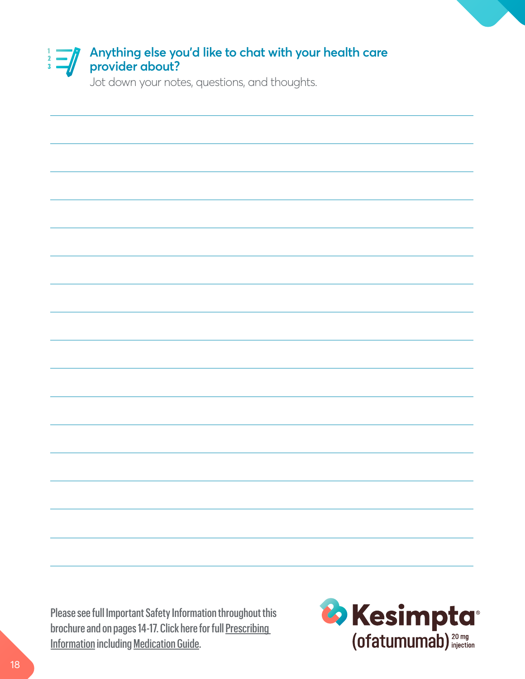

Jot down your notes, questions, and thoughts.